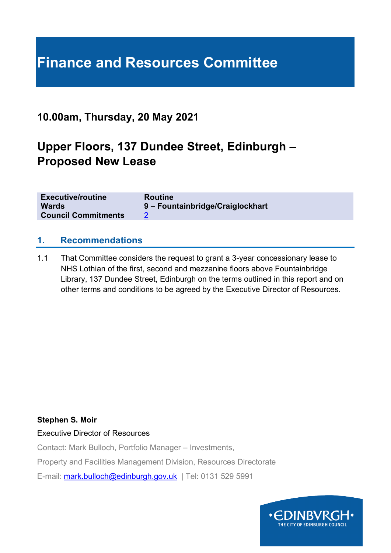# **Finance and Resources Committee**

# **10.00am, Thursday, 20 May 2021**

# **Upper Floors, 137 Dundee Street, Edinburgh – Proposed New Lease**

| <b>Executive/routine</b>   | <b>Routine</b>                   |
|----------------------------|----------------------------------|
| <b>Wards</b>               | 9 - Fountainbridge/Craiglockhart |
| <b>Council Commitments</b> |                                  |

#### **1. Recommendations**

1.1 That Committee considers the request to grant a 3-year concessionary lease to NHS Lothian of the first, second and mezzanine floors above Fountainbridge Library, 137 Dundee Street, Edinburgh on the terms outlined in this report and on other terms and conditions to be agreed by the Executive Director of Resources.

#### **Stephen S. Moir**

Executive Director of Resources

Contact: Mark Bulloch, Portfolio Manager – Investments,

Property and Facilities Management Division, Resources Directorate

E-mail: [mark.bulloch@edinburgh.gov.uk](mailto:mark.bulloch@edinburgh.gov.uk) | Tel: 0131 529 5991

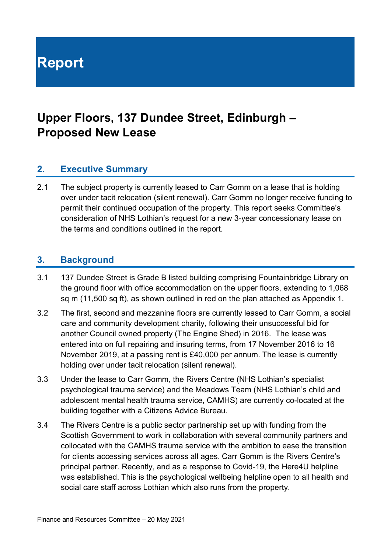**Report**

# **Upper Floors, 137 Dundee Street, Edinburgh – Proposed New Lease**

### **2. Executive Summary**

2.1 The subject property is currently leased to Carr Gomm on a lease that is holding over under tacit relocation (silent renewal). Carr Gomm no longer receive funding to permit their continued occupation of the property. This report seeks Committee's consideration of NHS Lothian's request for a new 3-year concessionary lease on the terms and conditions outlined in the report.

#### **3. Background**

- 3.1 137 Dundee Street is Grade B listed building comprising Fountainbridge Library on the ground floor with office accommodation on the upper floors, extending to 1,068 sq m (11,500 sq ft), as shown outlined in red on the plan attached as Appendix 1.
- 3.2 The first, second and mezzanine floors are currently leased to Carr Gomm, a social care and community development charity, following their unsuccessful bid for another Council owned property (The Engine Shed) in 2016. The lease was entered into on full repairing and insuring terms, from 17 November 2016 to 16 November 2019, at a passing rent is £40,000 per annum. The lease is currently holding over under tacit relocation (silent renewal).
- 3.3 Under the lease to Carr Gomm, the Rivers Centre (NHS Lothian's specialist psychological trauma service) and the Meadows Team (NHS Lothian's child and adolescent mental health trauma service, CAMHS) are currently co-located at the building together with a Citizens Advice Bureau.
- 3.4 The Rivers Centre is a public sector partnership set up with funding from the Scottish Government to work in collaboration with several community partners and collocated with the CAMHS trauma service with the ambition to ease the transition for clients accessing services across all ages. Carr Gomm is the Rivers Centre's principal partner. Recently, and as a response to Covid-19, the Here4U helpline was established. This is the psychological wellbeing helpline open to all health and social care staff across Lothian which also runs from the property.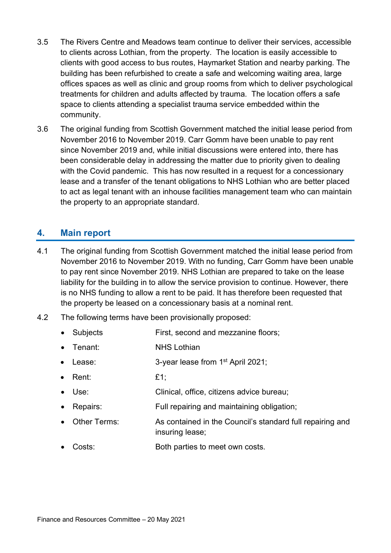- 3.5 The Rivers Centre and Meadows team continue to deliver their services, accessible to clients across Lothian, from the property. The location is easily accessible to clients with good access to bus routes, Haymarket Station and nearby parking. The building has been refurbished to create a safe and welcoming waiting area, large offices spaces as well as clinic and group rooms from which to deliver psychological treatments for children and adults affected by trauma. The location offers a safe space to clients attending a specialist trauma service embedded within the community.
- 3.6 The original funding from Scottish Government matched the initial lease period from November 2016 to November 2019. Carr Gomm have been unable to pay rent since November 2019 and, while initial discussions were entered into, there has been considerable delay in addressing the matter due to priority given to dealing with the Covid pandemic. This has now resulted in a request for a concessionary lease and a transfer of the tenant obligations to NHS Lothian who are better placed to act as legal tenant with an inhouse facilities management team who can maintain the property to an appropriate standard.

## **4. Main report**

- 4.1 The original funding from Scottish Government matched the initial lease period from November 2016 to November 2019. With no funding, Carr Gomm have been unable to pay rent since November 2019. NHS Lothian are prepared to take on the lease liability for the building in to allow the service provision to continue. However, there is no NHS funding to allow a rent to be paid. It has therefore been requested that the property be leased on a concessionary basis at a nominal rent.
- 4.2 The following terms have been provisionally proposed:
	- Subjects **First, second and mezzanine floors**;
	- Tenant: NHS Lothian
	- Lease:  $3$ -year lease from  $1<sup>st</sup>$  April 2021;
	- Rent: £1;
	- Use: Clinical, office, citizens advice bureau;
	- Repairs: Full repairing and maintaining obligation;
	- Other Terms: As contained in the Council's standard full repairing and insuring lease;
	- Costs: Both parties to meet own costs.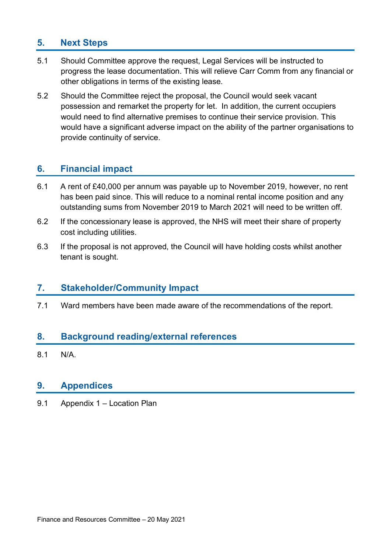# **5. Next Steps**

- 5.1 Should Committee approve the request, Legal Services will be instructed to progress the lease documentation. This will relieve Carr Comm from any financial or other obligations in terms of the existing lease.
- 5.2 Should the Committee reject the proposal, the Council would seek vacant possession and remarket the property for let. In addition, the current occupiers would need to find alternative premises to continue their service provision. This would have a significant adverse impact on the ability of the partner organisations to provide continuity of service.

## **6. Financial impact**

- 6.1 A rent of £40,000 per annum was payable up to November 2019, however, no rent has been paid since. This will reduce to a nominal rental income position and any outstanding sums from November 2019 to March 2021 will need to be written off.
- 6.2 If the concessionary lease is approved, the NHS will meet their share of property cost including utilities.
- 6.3 If the proposal is not approved, the Council will have holding costs whilst another tenant is sought.

#### **7. Stakeholder/Community Impact**

7.1 Ward members have been made aware of the recommendations of the report.

### **8. Background reading/external references**

8.1 N/A.

#### **9. Appendices**

9.1 Appendix 1 – Location Plan